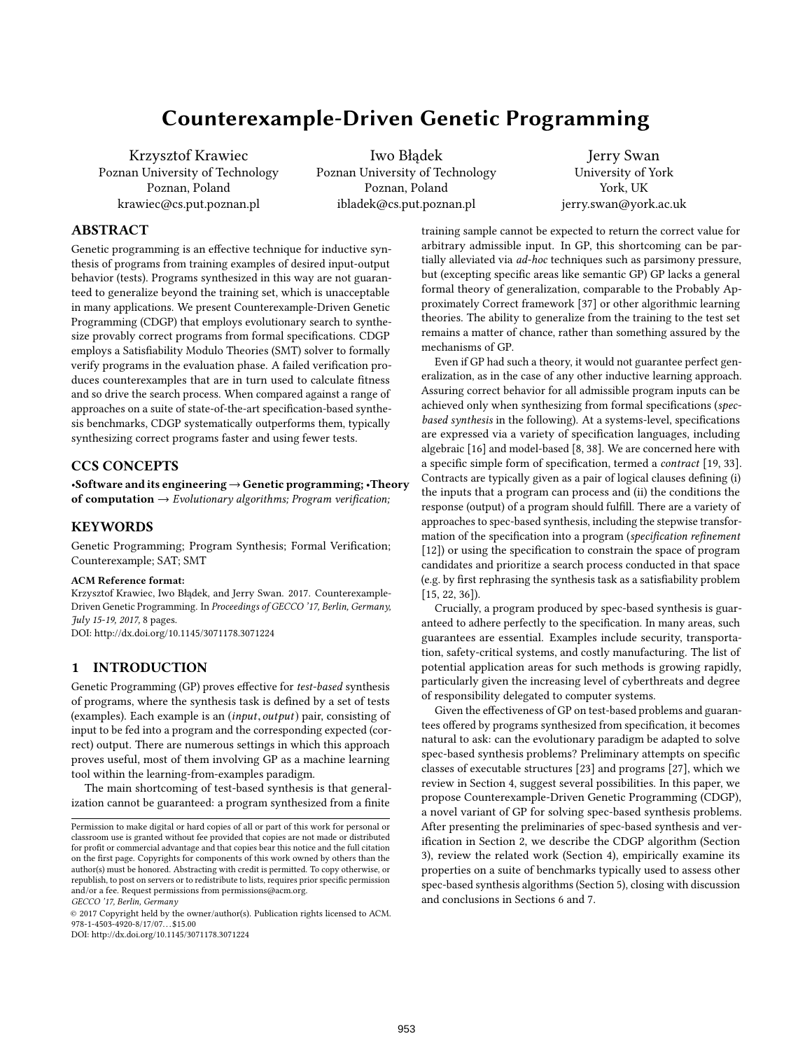# Counterexample-Driven Genetic Programming

Krzysztof Krawiec Poznan University of Technology Poznan, Poland krawiec@cs.put.poznan.pl

Iwo Błądek Poznan University of Technology Poznan, Poland ibladek@cs.put.poznan.pl

Jerry Swan University of York York, UK jerry.swan@york.ac.uk

# ABSTRACT

Genetic programming is an effective technique for inductive synthesis of programs from training examples of desired input-output behavior (tests). Programs synthesized in this way are not guaranteed to generalize beyond the training set, which is unacceptable in many applications. We present Counterexample-Driven Genetic Programming (CDGP) that employs evolutionary search to synthesize provably correct programs from formal specifications. CDGP employs a Satisfiability Modulo Theories (SMT) solver to formally verify programs in the evaluation phase. A failed verification produces counterexamples that are in turn used to calculate fitness and so drive the search process. When compared against a range of approaches on a suite of state-of-the-art specification-based synthesis benchmarks, CDGP systematically outperforms them, typically synthesizing correct programs faster and using fewer tests.

# CCS CONCEPTS

•Software and its engineering→Genetic programming; •Theory of computation  $\rightarrow$  Evolutionary algorithms; Program verification;

### **KEYWORDS**

Genetic Programming; Program Synthesis; Formal Verification; Counterexample; SAT; SMT

#### ACM Reference format:

Krzysztof Krawiec, Iwo Błądek, and Jerry Swan. 2017. Counterexample-Driven Genetic Programming. In Proceedings of GECCO '17, Berlin, Germany, July 15-19, 2017, 8 pages.

DOI: http://dx.doi.org/10.1145/3071178.3071224

# 1 INTRODUCTION

Genetic Programming (GP) proves effective for test-based synthesis of programs, where the synthesis task is defined by a set of tests (examples). Each example is an (input, output) pair, consisting of input to be fed into a program and the corresponding expected (correct) output. There are numerous settings in which this approach proves useful, most of them involving GP as a machine learning tool within the learning-from-examples paradigm.

The main shortcoming of test-based synthesis is that generalization cannot be guaranteed: a program synthesized from a finite

GECCO '17, Berlin, Germany

© 2017 Copyright held by the owner/author(s). Publication rights licensed to ACM.  $978 - 1 - 4503 - 4920 - 8/17/07$ ...\$15.00

DOI: http://dx.doi.org/10.1145/3071178.3071224

training sample cannot be expected to return the correct value for arbitrary admissible input. In GP, this shortcoming can be partially alleviated via ad-hoc techniques such as parsimony pressure, but (excepting specific areas like semantic GP) GP lacks a general formal theory of generalization, comparable to the Probably Approximately Correct framework [37] or other algorithmic learning theories. The ability to generalize from the training to the test set remains a matter of chance, rather than something assured by the mechanisms of GP.

Even if GP had such a theory, it would not guarantee perfect generalization, as in the case of any other inductive learning approach. Assuring correct behavior for all admissible program inputs can be achieved only when synthesizing from formal specifications (specbased synthesis in the following). At a systems-level, specifications are expressed via a variety of specification languages, including algebraic [16] and model-based [8, 38]. We are concerned here with a specific simple form of specification, termed a contract [19, 33]. Contracts are typically given as a pair of logical clauses defining (i) the inputs that a program can process and (ii) the conditions the response (output) of a program should fulfill. There are a variety of approaches to spec-based synthesis, including the stepwise transformation of the specification into a program (specification refinement  $[12]$ ) or using the specification to constrain the space of program candidates and prioritize a search process conducted in that space (e.g. by first rephrasing the synthesis task as a satisfiability problem [15, 22, 36]).

Crucially, a program produced by spec-based synthesis is guaranteed to adhere perfectly to the specification. In many areas, such guarantees are essential. Examples include security, transportation, safety-critical systems, and costly manufacturing. The list of potential application areas for such methods is growing rapidly, particularly given the increasing level of cyberthreats and degree of responsibility delegated to computer systems.

Given the effectiveness of GP on test-based problems and guarantees offered by programs synthesized from specification, it becomes natural to ask: can the evolutionary paradigm be adapted to solve spec-based synthesis problems? Preliminary attempts on specific classes of executable structures [23] and programs [27], which we review in Section 4, suggest several possibilities. In this paper, we propose Counterexample-Driven Genetic Programming (CDGP), a novel variant of GP for solving spec-based synthesis problems. After presenting the preliminaries of spec-based synthesis and verification in Section 2, we describe the CDGP algorithm (Section 3), review the related work (Section 4), empirically examine its properties on a suite of benchmarks typically used to assess other spec-based synthesis algorithms (Section 5), closing with discussion and conclusions in Sections 6 and 7.

Permission to make digital or hard copies of all or part of this work for personal or classroom use is granted without fee provided that copies are not made or distributed for profit or commercial advantage and that copies bear this notice and the full citation on the first page. Copyrights for components of this work owned by others than the author(s) must be honored. Abstracting with credit is permitted. To copy otherwise, or republish, to post on servers or to redistribute to lists, requires prior specific permission and/or a fee. Request permissions from permissions@acm.org.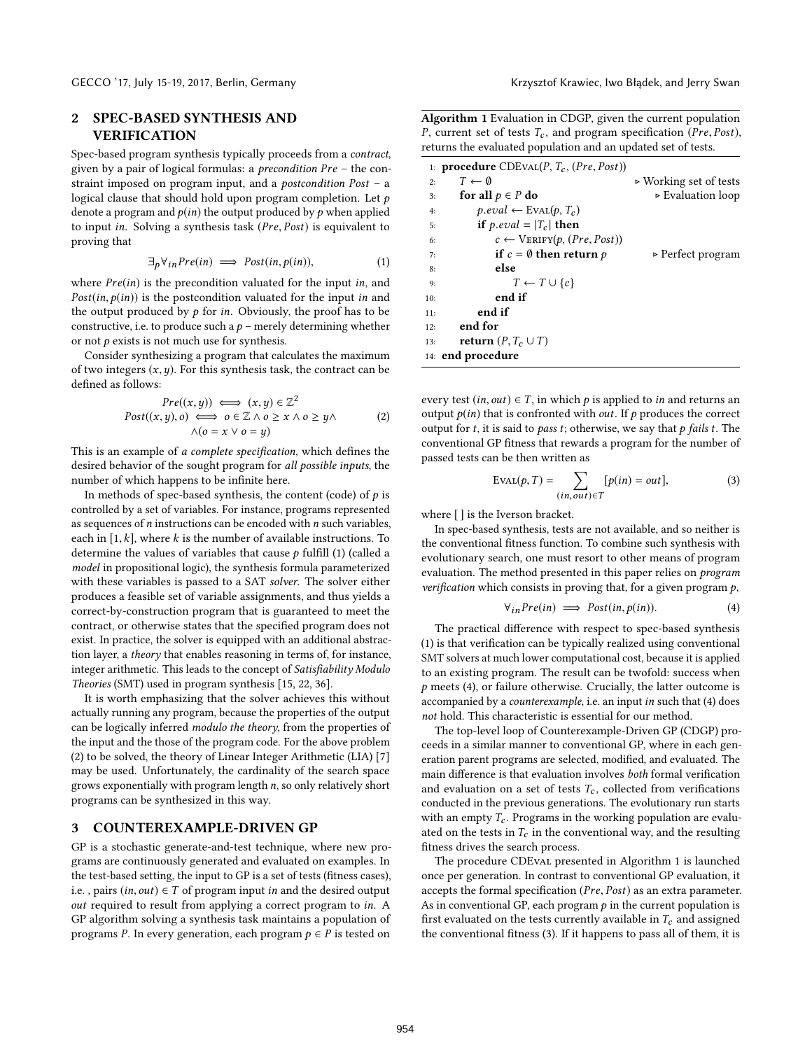# 2 SPEC-BASED SYNTHESIS AND VERIFICATION

Spec-based program synthesis typically proceeds from a contract, given by a pair of logical formulas: a precondition Pre – the constraint imposed on program input, and a postcondition Post – a logical clause that should hold upon program completion. Let  $p$ denote a program and  $p(in)$  the output produced by  $p$  when applied to input in. Solving a synthesis task (Pre, Post) is equivalent to proving that

$$
\exists p \forall_{in} Pre(in) \implies Post(in, p(in)), \tag{1}
$$

where  $Pre(in)$  is the precondition valuated for the input in, and  $Post(in,p(in))$  is the postcondition valuated for the input in and the output produced by  $p$  for in. Obviously, the proof has to be constructive, i.e. to produce such a  $p$  – merely determining whether or not  $p$  exists is not much use for synthesis.

Consider synthesizing a program that calculates the maximum of two integers  $(x, y)$ . For this synthesis task, the contract can be defined as follows:

$$
Pre((x, y)) \iff (x, y) \in \mathbb{Z}^2
$$
  
\n
$$
Post((x, y), o) \iff o \in \mathbb{Z} \land o \ge x \land o \ge y \land (2)
$$
  
\n
$$
\land (o = x \lor o = y)
$$

This is an example of a complete specification, which defines the desired behavior of the sought program for all possible inputs, the number of which happens to be infinite here.

In methods of spec-based synthesis, the content (code) of  $p$  is controlled by a set of variables. For instance, programs represented as sequences of  $n$  instructions can be encoded with  $n$  such variables, each in  $[1, k]$ , where k is the number of available instructions. To determine the values of variables that cause  $p$  fulfill (1) (called a model in propositional logic), the synthesis formula parameterized with these variables is passed to a SAT solver. The solver either produces a feasible set of variable assignments, and thus yields a correct-by-construction program that is guaranteed to meet the contract, or otherwise states that the specified program does not exist. In practice, the solver is equipped with an additional abstraction layer, a theory that enables reasoning in terms of, for instance, integer arithmetic. This leads to the concept of  $Satisfiability Modulo$ Theories (SMT) used in program synthesis [15, 22, 36].

It is worth emphasizing that the solver achieves this without actually running any program, because the properties of the output can be logically inferred modulo the theory, from the properties of the input and the those of the program code. For the above problem (2) to be solved, the theory of Linear Integer Arithmetic (LIA) [7] may be used. Unfortunately, the cardinality of the search space grows exponentially with program length n, so only relatively short programs can be synthesized in this way.

#### 3 COUNTEREXAMPLE-DRIVEN GP

GP is a stochastic generate-and-test technique, where new programs are continuously generated and evaluated on examples. In the test-based setting, the input to GP is a set of tests (fitness cases), i.e., pairs  $(in, out) \in T$  of program input in and the desired output out required to result from applying a correct program to in. A GP algorithm solving a synthesis task maintains a population of programs P. In every generation, each program  $p \in P$  is tested on

Algorithm 1 Evaluation in CDGP, given the current population P, current set of tests  $T_c$ , and program specification (Pre, Post), returns the evaluated population and an updated set of tests.

|     | 1: <b>procedure</b> $CDEVAL}(P, T_c, (Pre, Post))$ |                                       |
|-----|----------------------------------------------------|---------------------------------------|
| 2:  | $T \leftarrow \emptyset$                           | $\triangleright$ Working set of tests |
| 3:  | for all $p \in P$ do                               | $\triangleright$ Evaluation loop      |
| 4:  | $p.\text{eval} \leftarrow \text{Eval}(p, T_c)$     |                                       |
| 5:  | if p.eval = $ T_c $ then                           |                                       |
| 6:  | $c \leftarrow \text{VERIFY}(p, (Pre, Post))$       |                                       |
| 7:  | if $c = \emptyset$ then return p                   | $\triangleright$ Perfect program      |
| 8:  | else                                               |                                       |
| 9:  | $T \leftarrow T \cup \{c\}$                        |                                       |
| 10: | end if                                             |                                       |
| 11: | end if                                             |                                       |
| 12: | end for                                            |                                       |
| 13: | <b>return</b> $(P, T_c \cup T)$                    |                                       |
|     | 14: end procedure                                  |                                       |

every test  $(in, out) \in T$ , in which p is applied to in and returns an output  $p(in)$  that is confronted with *out*. If p produces the correct output for  $t$ , it is said to *pass*  $t$ ; otherwise, we say that  $p$  fails  $t$ . The conventional GP fitness that rewards a program for the number of passed tests can be then written as

$$
EVAL(p, T) = \sum_{(in, out) \in T} [p(in) = out],
$$
 (3)

where [ ] is the Iverson bracket.

In spec-based synthesis, tests are not available, and so neither is the conventional fitness function. To combine such synthesis with evolutionary search, one must resort to other means of program evaluation. The method presented in this paper relies on *program* verification which consists in proving that, for a given program  $p$ ,

$$
\forall_{in} Pre(in) \implies Post(in, p(in)). \tag{4}
$$

The practical difference with respect to spec-based synthesis  $(1)$  is that verification can be typically realized using conventional SMT solvers at much lower computational cost, because it is applied to an existing program. The result can be twofold: success when  $p$  meets (4), or failure otherwise. Crucially, the latter outcome is accompanied by a counterexample, i.e. an input in such that (4) does not hold. This characteristic is essential for our method.

The top-level loop of Counterexample-Driven GP (CDGP) proceeds in a similar manner to conventional GP, where in each generation parent programs are selected, modified, and evaluated. The main difference is that evaluation involves both formal verification and evaluation on a set of tests  $T_c$ , collected from verifications conducted in the previous generations. The evolutionary run starts with an empty  $T_c$ . Programs in the working population are evaluated on the tests in  $T_c$  in the conventional way, and the resulting fitness drives the search process.

The procedure CDEval presented in Algorithm 1 is launched once per generation. In contrast to conventional GP evaluation, it accepts the formal specification ( $Pre, Post$ ) as an extra parameter. As in conventional GP, each program  $p$  in the current population is first evaluated on the tests currently available in  $T_c$  and assigned the conventional fitness (3). If it happens to pass all of them, it is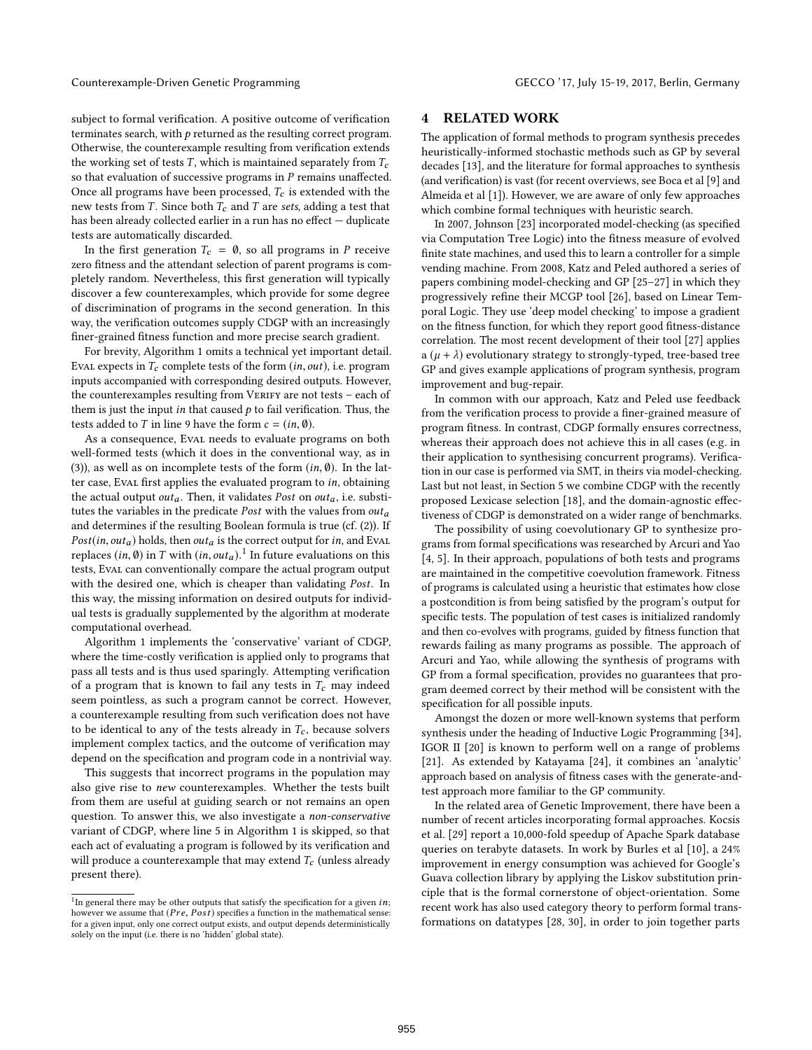Counterexample-Driven Genetic Programming GECCO '17, July 15-19, 2017, Berlin, Germany

subject to formal verification. A positive outcome of verification terminates search, with  $p$  returned as the resulting correct program. Otherwise, the counterexample resulting from verification extends the working set of tests T, which is maintained separately from  $T_c$ so that evaluation of successive programs in  $P$  remains unaffected. Once all programs have been processed,  $T_c$  is extended with the new tests from T. Since both  $T_c$  and T are sets, adding a test that has been already collected earlier in a run has no effect  $-$  duplicate tests are automatically discarded.

In the first generation  $T_c = \emptyset$ , so all programs in P receive zero fitness and the attendant selection of parent programs is completely random. Nevertheless, this first generation will typically discover a few counterexamples, which provide for some degree of discrimination of programs in the second generation. In this way, the verification outcomes supply CDGP with an increasingly finer-grained fitness function and more precise search gradient.

For brevity, Algorithm 1 omits a technical yet important detail. Eval expects in  $T_c$  complete tests of the form  $(in, out)$ , i.e. program inputs accompanied with corresponding desired outputs. However, the counterexamples resulting from VERIFY are not tests - each of them is just the input in that caused  $p$  to fail verification. Thus, the tests added to T in line 9 have the form  $c = (in, \emptyset)$ .

As a consequence, Eval needs to evaluate programs on both well-formed tests (which it does in the conventional way, as in (3)), as well as on incomplete tests of the form  $(in, \emptyset)$ . In the latter case, Eval first applies the evaluated program to in, obtaining the actual output *out<sub>a</sub>*. Then, it validates *Post* on *out<sub>a</sub>*, i.e. substitutes the variables in the predicate Post with the values from  $out_a$ and determines if the resulting Boolean formula is true (cf. (2)). If  $Post(in, out_a)$  holds, then  $out_a$  is the correct output for in, and Eval replaces  $(in, \emptyset)$  in T with  $(in, out_a)$ <sup>1</sup>. In future evaluations on this tests, Eval can conventionally compare the actual program output with the desired one, which is cheaper than validating Post. In this way, the missing information on desired outputs for individual tests is gradually supplemented by the algorithm at moderate computational overhead.

Algorithm 1 implements the 'conservative' variant of CDGP, where the time-costly verification is applied only to programs that pass all tests and is thus used sparingly. Attempting verification of a program that is known to fail any tests in  $T_c$  may indeed seem pointless, as such a program cannot be correct. However, a counterexample resulting from such verification does not have to be identical to any of the tests already in  $T_c$ , because solvers implement complex tactics, and the outcome of verification may depend on the specification and program code in a nontrivial way.

This suggests that incorrect programs in the population may also give rise to new counterexamples. Whether the tests built from them are useful at guiding search or not remains an open question. To answer this, we also investigate a non-conservative variant of CDGP, where line 5 in Algorithm 1 is skipped, so that each act of evaluating a program is followed by its verification and will produce a counterexample that may extend  $T_c$  (unless already present there).

### **RELATED WORK**

The application of formal methods to program synthesis precedes heuristically-informed stochastic methods such as GP by several decades [13], and the literature for formal approaches to synthesis (and verification) is vast (for recent overviews, see Boca et al [9] and Almeida et al [1]). However, we are aware of only few approaches which combine formal techniques with heuristic search.

In 2007, Johnson [23] incorporated model-checking (as specified via Computation Tree Logic) into the fitness measure of evolved finite state machines, and used this to learn a controller for a simple vending machine. From 2008, Katz and Peled authored a series of papers combining model-checking and GP [25–27] in which they progressively refine their MCGP tool [26], based on Linear Temporal Logic. They use 'deep model checking' to impose a gradient on the fitness function, for which they report good fitness-distance correlation. The most recent development of their tool [27] applies a  $(\mu + \lambda)$  evolutionary strategy to strongly-typed, tree-based tree GP and gives example applications of program synthesis, program improvement and bug-repair.

In common with our approach, Katz and Peled use feedback from the verification process to provide a finer-grained measure of program fitness. In contrast, CDGP formally ensures correctness, whereas their approach does not achieve this in all cases (e.g. in their application to synthesising concurrent programs). Verification in our case is performed via SMT, in theirs via model-checking. Last but not least, in Section 5 we combine CDGP with the recently proposed Lexicase selection [18], and the domain-agnostic effectiveness of CDGP is demonstrated on a wider range of benchmarks.

The possibility of using coevolutionary GP to synthesize programs from formal specifications was researched by Arcuri and Yao [4, 5]. In their approach, populations of both tests and programs are maintained in the competitive coevolution framework. Fitness of programs is calculated using a heuristic that estimates how close a postcondition is from being satisfied by the program's output for specific tests. The population of test cases is initialized randomly and then co-evolves with programs, guided by fitness function that rewards failing as many programs as possible. The approach of Arcuri and Yao, while allowing the synthesis of programs with GP from a formal specification, provides no guarantees that program deemed correct by their method will be consistent with the specification for all possible inputs.

Amongst the dozen or more well-known systems that perform synthesis under the heading of Inductive Logic Programming [34], IGOR II [20] is known to perform well on a range of problems [21]. As extended by Katayama [24], it combines an 'analytic' approach based on analysis of fitness cases with the generate-andtest approach more familiar to the GP community.

In the related area of Genetic Improvement, there have been a number of recent articles incorporating formal approaches. Kocsis et al. [29] report a 10,000-fold speedup of Apache Spark database queries on terabyte datasets. In work by Burles et al [10], a 24% improvement in energy consumption was achieved for Google's Guava collection library by applying the Liskov substitution principle that is the formal cornerstone of object-orientation. Some recent work has also used category theory to perform formal transformations on datatypes [28, 30], in order to join together parts

<sup>&</sup>lt;sup>1</sup>In general there may be other outputs that satisfy the specification for a given *in*; however we assume that  $(Pre, Post)$  specifies a function in the mathematical sense: for a given input, only one correct output exists, and output depends deterministically solely on the input (i.e. there is no 'hidden' global state).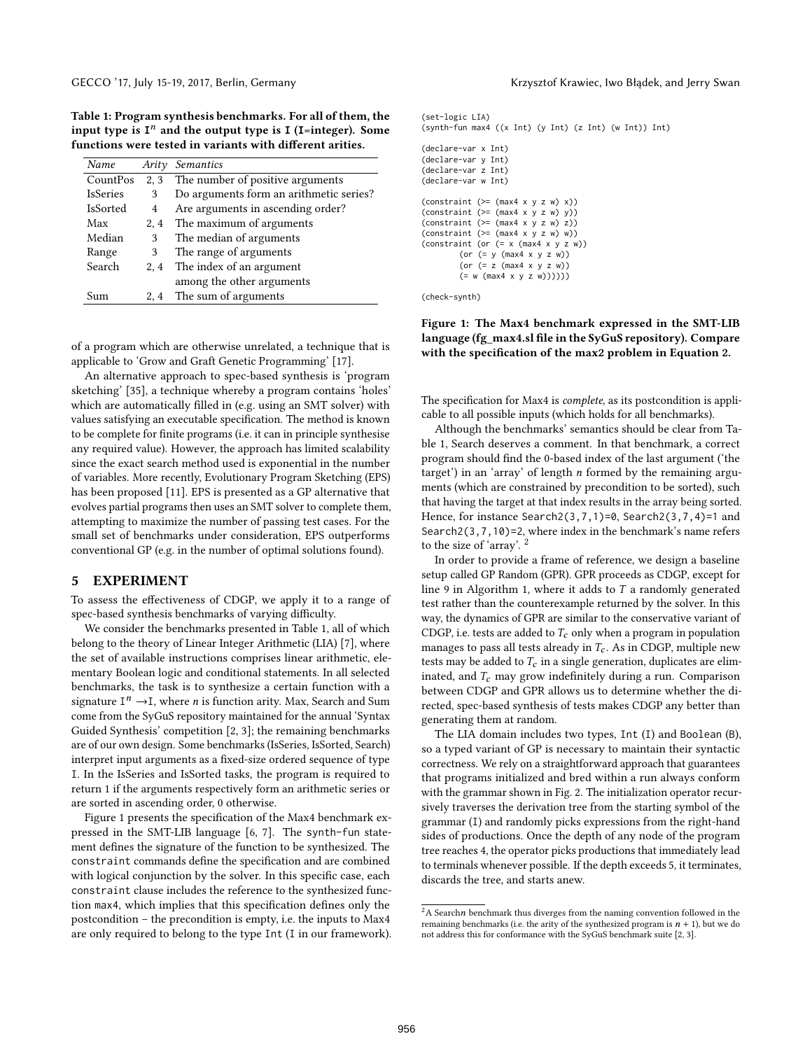Table 1: Program synthesis benchmarks. For all of them, the input type is  $I<sup>n</sup>$  and the output type is  $I$  (I=integer). Some functions were tested in variants with different arities.

| Name            | Arity | Semantics                               |
|-----------------|-------|-----------------------------------------|
| CountPos        | 2, 3  | The number of positive arguments        |
| <b>IsSeries</b> | 3     | Do arguments form an arithmetic series? |
| IsSorted        | 4     | Are arguments in ascending order?       |
| Max             | 2, 4  | The maximum of arguments                |
| Median          | 3     | The median of arguments                 |
| Range           | 3     | The range of arguments                  |
| Search          | 2, 4  | The index of an argument                |
|                 |       | among the other arguments               |
| Sum             | 2.4   | The sum of arguments                    |

of a program which are otherwise unrelated, a technique that is applicable to 'Grow and Graft Genetic Programming' [17].

An alternative approach to spec-based synthesis is 'program sketching' [35], a technique whereby a program contains 'holes' which are automatically filled in (e.g. using an SMT solver) with values satisfying an executable specification. The method is known to be complete for finite programs (i.e. it can in principle synthesise any required value). However, the approach has limited scalability since the exact search method used is exponential in the number of variables. More recently, Evolutionary Program Sketching (EPS) has been proposed [11]. EPS is presented as a GP alternative that evolves partial programs then uses an SMT solver to complete them, attempting to maximize the number of passing test cases. For the small set of benchmarks under consideration, EPS outperforms conventional GP (e.g. in the number of optimal solutions found).

#### 5 EXPERIMENT

To assess the effectiveness of CDGP, we apply it to a range of spec-based synthesis benchmarks of varying difficulty.

We consider the benchmarks presented in Table 1, all of which belong to the theory of Linear Integer Arithmetic (LIA) [7], where the set of available instructions comprises linear arithmetic, elementary Boolean logic and conditional statements. In all selected benchmarks, the task is to synthesize a certain function with a signature  $I^n \rightarrow I$ , where *n* is function arity. Max, Search and Sum<br>come from the SyGuS repository maintained for the annual 'Syntax come from the SyGuS repository maintained for the annual 'Syntax Guided Synthesis' competition [2, 3]; the remaining benchmarks are of our own design. Some benchmarks (IsSeries, IsSorted, Search) interpret input arguments as a fixed-size ordered sequence of type I. In the IsSeries and IsSorted tasks, the program is required to return 1 if the arguments respectively form an arithmetic series or are sorted in ascending order, 0 otherwise.

Figure 1 presents the specification of the Max4 benchmark expressed in the SMT-LIB language [6, 7]. The synth-fun statement defines the signature of the function to be synthesized. The constraint commands define the specification and are combined with logical conjunction by the solver. In this specific case, each constraint clause includes the reference to the synthesized function max4, which implies that this specification defines only the postcondition – the precondition is empty, i.e. the inputs to Max4 are only required to belong to the type Int (I in our framework).

```
(set-logic LIA)
(synth-fun max4 ((x Int) (y Int) (z Int) (w Int)) Int)
(declare-var x Int)
(declare-var y Int)
(declare-var z Int)
(declare-var w Int)
(constraint (>= (max4 x y z w) x))(constraint (>= (max4 x y z w) y))
(constraint (>= (max4 x y z w) z))
(constraint (- = (max4 x y z w) w))(constraint (or (= x \text{ (max4 x y z w)})(or (= y (max4 x y z w))
        (or (= z (max4 x y z w))
        ( = w (max4 x y z w))))))
```
(check-synth)

## Figure 1: The Max4 benchmark expressed in the SMT-LIB language (fg\_max4.sl file in the SyGuS repository). Compare with the specification of the max2 problem in Equation 2.

The specification for Max4 is *complete*, as its postcondition is applicable to all possible inputs (which holds for all benchmarks).

Although the benchmarks' semantics should be clear from Table 1, Search deserves a comment. In that benchmark, a correct program should find the 0-based index of the last argument ('the target') in an 'array' of length n formed by the remaining arguments (which are constrained by precondition to be sorted), such that having the target at that index results in the array being sorted. Hence, for instance Search2(3,7,1)=0, Search2(3,7,4)=1 and Search2(3,7,10)=2, where index in the benchmark's name refers to the size of 'array'. <sup>2</sup>

In order to provide a frame of reference, we design a baseline setup called GP Random (GPR). GPR proceeds as CDGP, except for line 9 in Algorithm 1, where it adds to  $T$  a randomly generated test rather than the counterexample returned by the solver. In this way, the dynamics of GPR are similar to the conservative variant of CDGP, i.e. tests are added to  $T_c$  only when a program in population manages to pass all tests already in  $T_c$ . As in CDGP, multiple new tests may be added to  $T_c$  in a single generation, duplicates are eliminated, and  $T_c$  may grow indefinitely during a run. Comparison between CDGP and GPR allows us to determine whether the directed, spec-based synthesis of tests makes CDGP any better than generating them at random.

The LIA domain includes two types, Int (I) and Boolean (B), so a typed variant of GP is necessary to maintain their syntactic correctness. We rely on a straightforward approach that guarantees that programs initialized and bred within a run always conform with the grammar shown in Fig. 2. The initialization operator recursively traverses the derivation tree from the starting symbol of the grammar (I) and randomly picks expressions from the right-hand sides of productions. Once the depth of any node of the program tree reaches 4, the operator picks productions that immediately lead to terminals whenever possible. If the depth exceeds 5, it terminates, discards the tree, and starts anew.

 $2A$  Searchn benchmark thus diverges from the naming convention followed in the remaining benchmarks (i.e. the arity of the synthesized program is  $n + 1$ ), but we do not address this for conformance with the SyGuS benchmark suite [2, 3].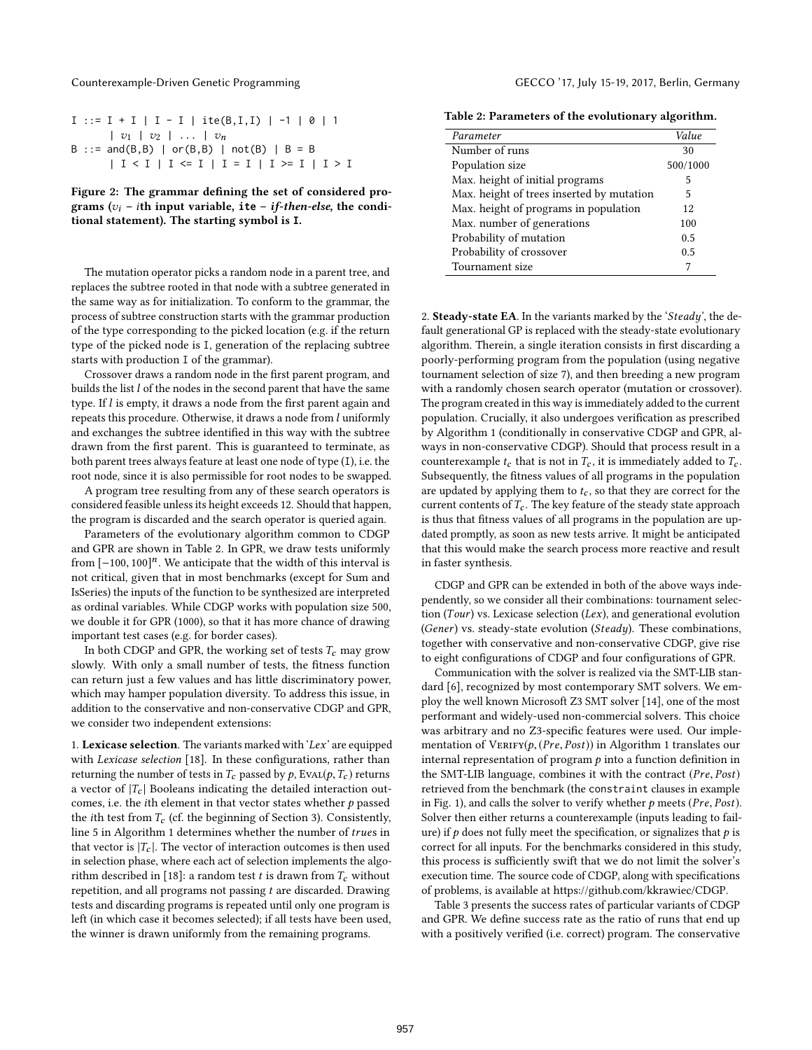Counterexample-Driven Genetic Programming GECCO '17, July 15-19, 2017, Berlin, Germany

| $I ::= I + I   I - I   ite(B,I,I)   -1   0   1$         |
|---------------------------------------------------------|
| $ v_1 v_2  \ldots  v_n$                                 |
| B ::= and(B,B)   or(B,B)   not(B)   B = B               |
| $  I < I   I \Leftrightarrow I   I = I   I > I   I > I$ |

Figure 2: The grammar defining the set of considered programs  $(v_i - i\text{th input variable}, \text{ite} - i\text{f-then-else}, \text{the condi-}$ tional statement). The starting symbol is **I**.

The mutation operator picks a random node in a parent tree, and replaces the subtree rooted in that node with a subtree generated in the same way as for initialization. To conform to the grammar, the process of subtree construction starts with the grammar production of the type corresponding to the picked location (e.g. if the return type of the picked node is I, generation of the replacing subtree starts with production I of the grammar).

Crossover draws a random node in the first parent program, and builds the list l of the nodes in the second parent that have the same type. If  $l$  is empty, it draws a node from the first parent again and repeats this procedure. Otherwise, it draws a node from l uniformly and exchanges the subtree identified in this way with the subtree drawn from the first parent. This is guaranteed to terminate, as both parent trees always feature at least one node of type (I), i.e. the root node, since it is also permissible for root nodes to be swapped.

A program tree resulting from any of these search operators is considered feasible unless its height exceeds 12. Should that happen, the program is discarded and the search operator is queried again.

Parameters of the evolutionary algorithm common to CDGP and GPR are shown in Table 2. In GPR, we draw tests uniformly from [−100, 100]<sup>n</sup>. We anticipate that the width of this interval is<br>not critical given that in most benchmarks (except for Sum and not critical, given that in most benchmarks (except for Sum and IsSeries) the inputs of the function to be synthesized are interpreted as ordinal variables. While CDGP works with population size 500, we double it for GPR (1000), so that it has more chance of drawing important test cases (e.g. for border cases).

In both CDGP and GPR, the working set of tests  $T_c$  may grow slowly. With only a small number of tests, the fitness function can return just a few values and has little discriminatory power, which may hamper population diversity. To address this issue, in addition to the conservative and non-conservative CDGP and GPR, we consider two independent extensions:

1. Lexicase selection. The variants marked with ' $Lex'$  are equipped with Lexicase selection [18]. In these configurations, rather than returning the number of tests in  $T_c$  passed by  $p$ , Eval( $p$ ,  $T_c$ ) returns a vector of  $|T_c|$  Booleans indicating the detailed interaction outcomes, i.e. the *i*th element in that vector states whether  $p$  passed the *i*th test from  $T_c$  (cf. the beginning of Section 3). Consistently, line 5 in Algorithm 1 determines whether the number of trues in that vector is  $|T_c|$ . The vector of interaction outcomes is then used in selection phase, where each act of selection implements the algorithm described in [18]: a random test  $t$  is drawn from  $T_c$  without repetition, and all programs not passing  $t$  are discarded. Drawing tests and discarding programs is repeated until only one program is left (in which case it becomes selected); if all tests have been used, the winner is drawn uniformly from the remaining programs.

Table 2: Parameters of the evolutionary algorithm.

| Parameter                                 | Value    |
|-------------------------------------------|----------|
| Number of runs                            | 30       |
| Population size                           | 500/1000 |
| Max. height of initial programs           | 5        |
| Max. height of trees inserted by mutation | 5        |
| Max. height of programs in population     | 12       |
| Max. number of generations                | 100      |
| Probability of mutation                   | 0.5      |
| Probability of crossover                  | 0.5      |
| Tournament size                           |          |

2. Steady-state EA. In the variants marked by the 'Steady', the default generational GP is replaced with the steady-state evolutionary algorithm. Therein, a single iteration consists in first discarding a poorly-performing program from the population (using negative tournament selection of size 7), and then breeding a new program with a randomly chosen search operator (mutation or crossover). The program created in this way is immediately added to the current population. Crucially, it also undergoes verification as prescribed by Algorithm 1 (conditionally in conservative CDGP and GPR, always in non-conservative CDGP). Should that process result in a counterexample  $t_c$  that is not in  $T_c$ , it is immediately added to  $T_c$ . Subsequently, the fitness values of all programs in the population are updated by applying them to  $t_c$ , so that they are correct for the current contents of  $T_c$ . The key feature of the steady state approach is thus that fitness values of all programs in the population are updated promptly, as soon as new tests arrive. It might be anticipated that this would make the search process more reactive and result in faster synthesis.

CDGP and GPR can be extended in both of the above ways independently, so we consider all their combinations: tournament selection (Tour) vs. Lexicase selection (Lex), and generational evolution (Gener) vs. steady-state evolution (Steady). These combinations, together with conservative and non-conservative CDGP, give rise to eight configurations of CDGP and four configurations of GPR.

Communication with the solver is realized via the SMT-LIB standard [6], recognized by most contemporary SMT solvers. We employ the well known Microsoft Z3 SMT solver [14], one of the most performant and widely-used non-commercial solvers. This choice was arbitrary and no Z3-specific features were used. Our implementation of  $VERIFY(p, (Pre, Post))$  in Algorithm 1 translates our internal representation of program  $p$  into a function definition in the SMT-LIB language, combines it with the contract (Pre, Post) retrieved from the benchmark (the constraint clauses in example in Fig. 1), and calls the solver to verify whether  $p$  meets (Pre, Post). Solver then either returns a counterexample (inputs leading to failure) if  $p$  does not fully meet the specification, or signalizes that  $p$  is correct for all inputs. For the benchmarks considered in this study, this process is sufficiently swift that we do not limit the solver's execution time. The source code of CDGP, along with specifications of problems, is available at https://github.com/kkrawiec/CDGP.

Table 3 presents the success rates of particular variants of CDGP and GPR. We define success rate as the ratio of runs that end up with a positively verified (i.e. correct) program. The conservative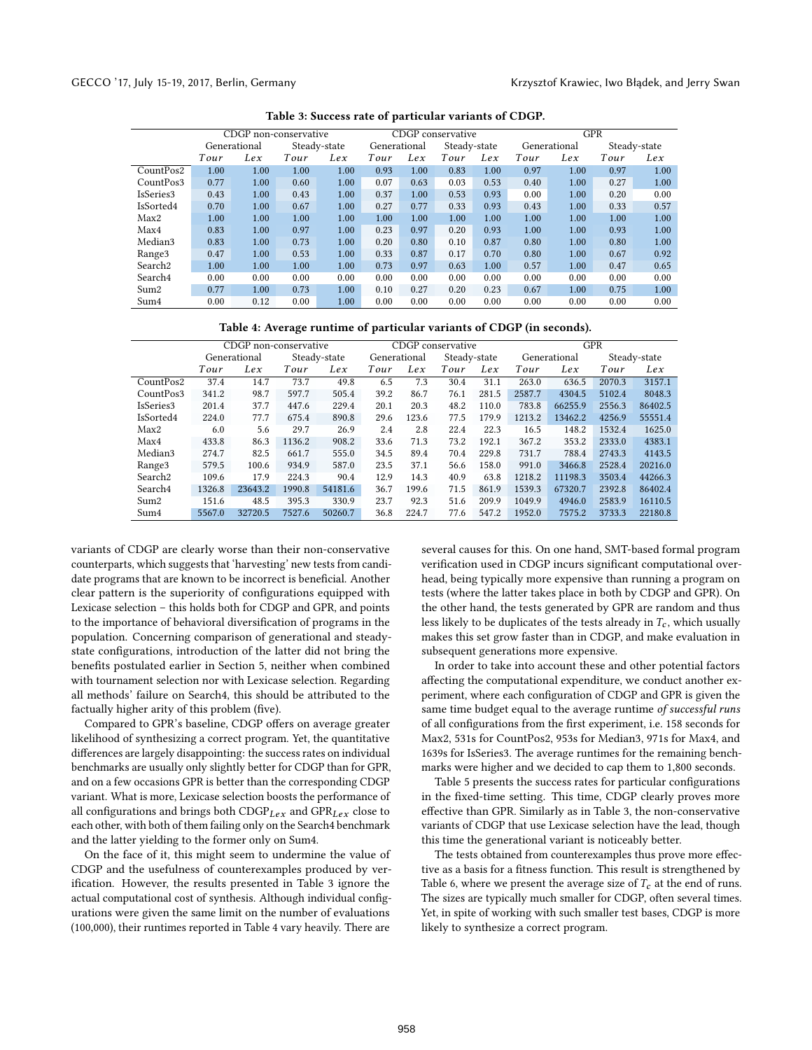|                     | CDGP non-conservative |              |              | CDGP conservative |      | <b>GPR</b>   |      |              |      |              |              |      |
|---------------------|-----------------------|--------------|--------------|-------------------|------|--------------|------|--------------|------|--------------|--------------|------|
|                     |                       | Generational | Steady-state |                   |      | Generational |      | Steady-state |      | Generational | Steady-state |      |
|                     | Tour                  | Lex          | Tour         | Lex               | Tour | Lex          | Tour | Lex          | Tour | Lex          | Tour         | Lex  |
| CountPos2           | 1.00                  | 1.00         | 1.00         | 1.00              | 0.93 | 1.00         | 0.83 | 1.00         | 0.97 | 1.00         | 0.97         | 1.00 |
| CountPos3           | 0.77                  | 1.00         | 0.60         | 1.00              | 0.07 | 0.63         | 0.03 | 0.53         | 0.40 | 1.00         | 0.27         | 1.00 |
| IsSeries3           | 0.43                  | 1.00         | 0.43         | 1.00              | 0.37 | 1.00         | 0.53 | 0.93         | 0.00 | 1.00         | 0.20         | 0.00 |
| IsSorted4           | 0.70                  | 1.00         | 0.67         | 1.00              | 0.27 | 0.77         | 0.33 | 0.93         | 0.43 | 1.00         | 0.33         | 0.57 |
| Max2                | 1.00                  | 1.00         | 1.00         | 1.00              | 1.00 | 1.00         | 1.00 | 1.00         | 1.00 | 1.00         | 1.00         | 1.00 |
| Max4                | 0.83                  | 1.00         | 0.97         | 1.00              | 0.23 | 0.97         | 0.20 | 0.93         | 1.00 | 1.00         | 0.93         | 1.00 |
| Median3             | 0.83                  | 1.00         | 0.73         | 1.00              | 0.20 | 0.80         | 0.10 | 0.87         | 0.80 | 1.00         | 0.80         | 1.00 |
| Range <sup>3</sup>  | 0.47                  | 1.00         | 0.53         | 1.00              | 0.33 | 0.87         | 0.17 | 0.70         | 0.80 | 1.00         | 0.67         | 0.92 |
| Search <sub>2</sub> | 1.00                  | 1.00         | 1.00         | 1.00              | 0.73 | 0.97         | 0.63 | 1.00         | 0.57 | 1.00         | 0.47         | 0.65 |
| Search4             | 0.00                  | 0.00         | 0.00         | 0.00              | 0.00 | 0.00         | 0.00 | 0.00         | 0.00 | 0.00         | 0.00         | 0.00 |
| Sum2                | 0.77                  | 1.00         | 0.73         | 1.00              | 0.10 | 0.27         | 0.20 | 0.23         | 0.67 | 1.00         | 0.75         | 1.00 |
| Sum4                | 0.00                  | 0.12         | 0.00         | 1.00              | 0.00 | 0.00         | 0.00 | 0.00         | 0.00 | 0.00         | 0.00         | 0.00 |
|                     |                       |              |              |                   |      |              |      |              |      |              |              |      |

Table 3: Success rate of particular variants of CDGP.

#### Table 4: Average runtime of particular variants of CDGP (in seconds).

|                     | CDGP non-conservative |         |              | CDGP conservative |              | <b>GPR</b> |              |       |              |         |              |         |
|---------------------|-----------------------|---------|--------------|-------------------|--------------|------------|--------------|-------|--------------|---------|--------------|---------|
|                     | Generational          |         | Steady-state |                   | Generational |            | Steady-state |       | Generational |         | Steady-state |         |
|                     | Tour                  | Lex     | Tour         | Lex               | Tour         | Lex        | Tour         | Lex   | Tour         | Lex     | Tour         | Lex     |
| CountPos2           | 37.4                  | 14.7    | 73.7         | 49.8              | 6.5          | 7.3        | 30.4         | 31.1  | 263.0        | 636.5   | 2070.3       | 3157.1  |
| CountPos3           | 341.2                 | 98.7    | 597.7        | 505.4             | 39.2         | 86.7       | 76.1         | 281.5 | 2587.7       | 4304.5  | 5102.4       | 8048.3  |
| IsSeries3           | 201.4                 | 37.7    | 447.6        | 229.4             | 20.1         | 20.3       | 48.2         | 110.0 | 783.8        | 66255.9 | 2556.3       | 86402.5 |
| IsSorted4           | 224.0                 | 77.7    | 675.4        | 890.8             | 29.6         | 123.6      | 77.5         | 179.9 | 1213.2       | 13462.2 | 4256.9       | 55551.4 |
| Max2                | 6.0                   | 5.6     | 29.7         | 26.9              | 2.4          | 2.8        | 22.4         | 22.3  | 16.5         | 148.2   | 1532.4       | 1625.0  |
| Max4                | 433.8                 | 86.3    | 1136.2       | 908.2             | 33.6         | 71.3       | 73.2         | 192.1 | 367.2        | 353.2   | 2333.0       | 4383.1  |
| Median3             | 274.7                 | 82.5    | 661.7        | 555.0             | 34.5         | 89.4       | 70.4         | 229.8 | 731.7        | 788.4   | 2743.3       | 4143.5  |
| Range <sup>3</sup>  | 579.5                 | 100.6   | 934.9        | 587.0             | 23.5         | 37.1       | 56.6         | 158.0 | 991.0        | 3466.8  | 2528.4       | 20216.0 |
| Search <sub>2</sub> | 109.6                 | 17.9    | 224.3        | 90.4              | 12.9         | 14.3       | 40.9         | 63.8  | 1218.2       | 11198.3 | 3503.4       | 44266.3 |
| Search4             | 1326.8                | 23643.2 | 1990.8       | 54181.6           | 36.7         | 199.6      | 71.5         | 861.9 | 1539.3       | 67320.7 | 2392.8       | 86402.4 |
| Sum2                | 151.6                 | 48.5    | 395.3        | 330.9             | 23.7         | 92.3       | 51.6         | 209.9 | 1049.9       | 4946.0  | 2583.9       | 16110.5 |
| Sum4                | 5567.0                | 32720.5 | 7527.6       | 50260.7           | 36.8         | 224.7      | 77.6         | 547.2 | 1952.0       | 7575.2  | 3733.3       | 22180.8 |

variants of CDGP are clearly worse than their non-conservative counterparts, which suggests that 'harvesting' new tests from candidate programs that are known to be incorrect is beneficial. Another clear pattern is the superiority of configurations equipped with Lexicase selection – this holds both for CDGP and GPR, and points to the importance of behavioral diversification of programs in the population. Concerning comparison of generational and steadystate configurations, introduction of the latter did not bring the benefits postulated earlier in Section 5, neither when combined with tournament selection nor with Lexicase selection. Regarding all methods' failure on Search4, this should be attributed to the factually higher arity of this problem (five).

Compared to GPR's baseline, CDGP offers on average greater likelihood of synthesizing a correct program. Yet, the quantitative differences are largely disappointing: the success rates on individual benchmarks are usually only slightly better for CDGP than for GPR, and on a few occasions GPR is better than the corresponding CDGP variant. What is more, Lexicase selection boosts the performance of all configurations and brings both  $CDGP_{Lex}$  and  $GPR_{Lex}$  close to each other, with both of them failing only on the Search4 benchmark and the latter yielding to the former only on Sum4.

On the face of it, this might seem to undermine the value of CDGP and the usefulness of counterexamples produced by verification. However, the results presented in Table 3 ignore the actual computational cost of synthesis. Although individual congurations were given the same limit on the number of evaluations (100,000), their runtimes reported in Table 4 vary heavily. There are

several causes for this. On one hand, SMT-based formal program verification used in CDGP incurs significant computational overhead, being typically more expensive than running a program on tests (where the latter takes place in both by CDGP and GPR). On the other hand, the tests generated by GPR are random and thus less likely to be duplicates of the tests already in  $T_c$ , which usually makes this set grow faster than in CDGP, and make evaluation in subsequent generations more expensive.

In order to take into account these and other potential factors affecting the computational expenditure, we conduct another experiment, where each configuration of CDGP and GPR is given the same time budget equal to the average runtime of successful runs of all configurations from the first experiment, i.e. 158 seconds for Max2, 531s for CountPos2, 953s for Median3, 971s for Max4, and 1639s for IsSeries3. The average runtimes for the remaining benchmarks were higher and we decided to cap them to <sup>1</sup>,<sup>800</sup> seconds.

Table 5 presents the success rates for particular configurations in the fixed-time setting. This time, CDGP clearly proves more effective than GPR. Similarly as in Table 3, the non-conservative variants of CDGP that use Lexicase selection have the lead, though this time the generational variant is noticeably better.

The tests obtained from counterexamples thus prove more effective as a basis for a fitness function. This result is strengthened by Table 6, where we present the average size of  $T_c$  at the end of runs. The sizes are typically much smaller for CDGP, often several times. Yet, in spite of working with such smaller test bases, CDGP is more likely to synthesize a correct program.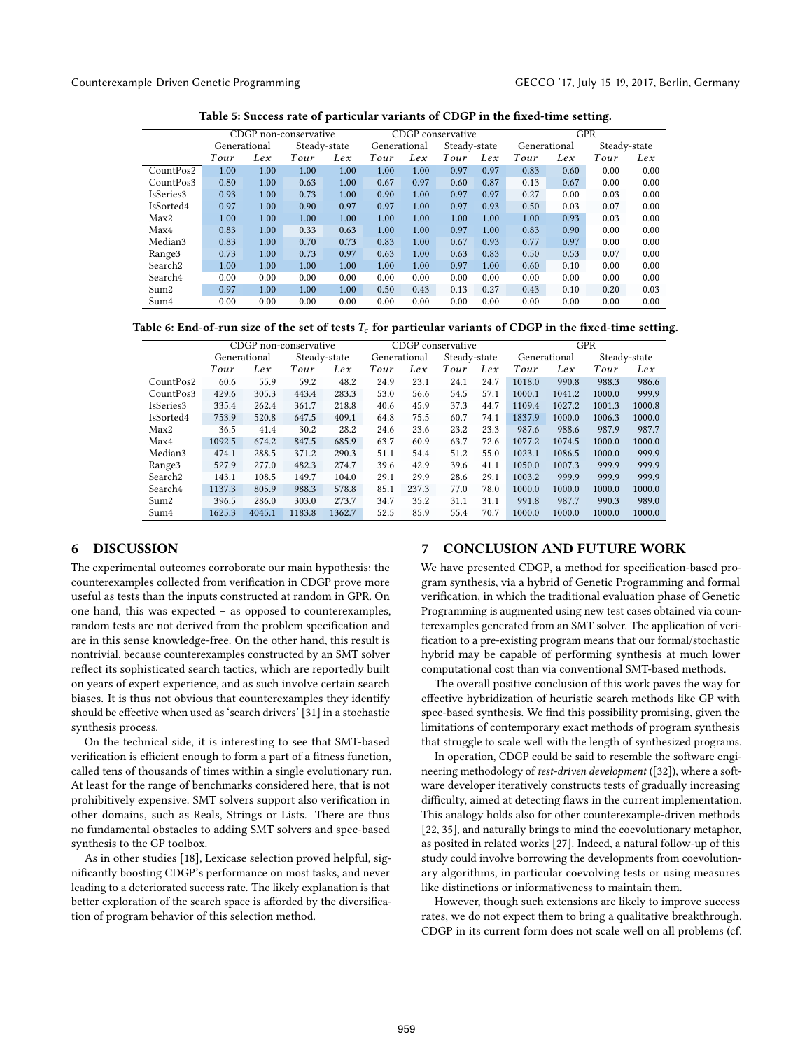Counterexample-Driven Genetic Programming GECCO '17, July 15-19, 2017, Berlin, Germany

| Table 5: Success rate of particular variants of CDGP in the fixed-time setting. |  |  |
|---------------------------------------------------------------------------------|--|--|
|                                                                                 |  |  |

|                     | CDGP non-conservative |      |              | CDGP conservative |              | <b>GPR</b> |              |      |              |      |              |      |
|---------------------|-----------------------|------|--------------|-------------------|--------------|------------|--------------|------|--------------|------|--------------|------|
|                     | Generational          |      | Steady-state |                   | Generational |            | Steady-state |      | Generational |      | Steady-state |      |
|                     | Tour                  | Lex  | Tour         | Lex               | Tour         | Lex        | Tour         | Lex  | Tour         | Lex  | Tour         | Lex  |
| CountPos2           | 1.00                  | 1.00 | 1.00         | 1.00              | 1.00         | 1.00       | 0.97         | 0.97 | 0.83         | 0.60 | 0.00         | 0.00 |
| CountPos3           | 0.80                  | 1.00 | 0.63         | 1.00              | 0.67         | 0.97       | 0.60         | 0.87 | 0.13         | 0.67 | 0.00         | 0.00 |
| IsSeries3           | 0.93                  | 1.00 | 0.73         | 1.00              | 0.90         | 1.00       | 0.97         | 0.97 | 0.27         | 0.00 | 0.03         | 0.00 |
| IsSorted4           | 0.97                  | 1.00 | 0.90         | 0.97              | 0.97         | 1.00       | 0.97         | 0.93 | 0.50         | 0.03 | 0.07         | 0.00 |
| Max2                | 1.00                  | 1.00 | 1.00         | 1.00              | 1.00         | 1.00       | 1.00         | 1.00 | 1.00         | 0.93 | 0.03         | 0.00 |
| Max4                | 0.83                  | 1.00 | 0.33         | 0.63              | 1.00         | 1.00       | 0.97         | 1.00 | 0.83         | 0.90 | 0.00         | 0.00 |
| Median3             | 0.83                  | 1.00 | 0.70         | 0.73              | 0.83         | 1.00       | 0.67         | 0.93 | 0.77         | 0.97 | 0.00         | 0.00 |
| Range <sub>3</sub>  | 0.73                  | 1.00 | 0.73         | 0.97              | 0.63         | 1.00       | 0.63         | 0.83 | 0.50         | 0.53 | 0.07         | 0.00 |
| Search <sub>2</sub> | 1.00                  | 1.00 | 1.00         | 1.00              | 1.00         | 1.00       | 0.97         | 1.00 | 0.60         | 0.10 | 0.00         | 0.00 |
| Search4             | 0.00                  | 0.00 | 0.00         | 0.00              | 0.00         | 0.00       | 0.00         | 0.00 | 0.00         | 0.00 | 0.00         | 0.00 |
| Sum2                | 0.97                  | 1.00 | 1.00         | 1.00              | 0.50         | 0.43       | 0.13         | 0.27 | 0.43         | 0.10 | 0.20         | 0.03 |
| Sum4                | 0.00                  | 0.00 | 0.00         | 0.00              | 0.00         | 0.00       | 0.00         | 0.00 | 0.00         | 0.00 | 0.00         | 0.00 |
|                     |                       |      |              |                   |              |            |              |      |              |      |              |      |

Table 6: End-of-run size of the set of tests  $T_c$  for particular variants of CDGP in the fixed-time setting.

|                     | CDGP non-conservative |        |              | CDGP conservative |              | <b>GPR</b> |              |      |              |        |              |        |
|---------------------|-----------------------|--------|--------------|-------------------|--------------|------------|--------------|------|--------------|--------|--------------|--------|
|                     | Generational          |        | Steady-state |                   | Generational |            | Steady-state |      | Generational |        | Steady-state |        |
|                     | Tour                  | Lex    | Tour         | Lex               | Tour         | Lex        | Tour         | Lex  | Tour         | Lex    | Tour         | Lex    |
| CountPos2           | 60.6                  | 55.9   | 59.2         | 48.2              | 24.9         | 23.1       | 24.1         | 24.7 | 1018.0       | 990.8  | 988.3        | 986.6  |
| CountPos3           | 429.6                 | 305.3  | 443.4        | 283.3             | 53.0         | 56.6       | 54.5         | 57.1 | 1000.1       | 1041.2 | 1000.0       | 999.9  |
| IsSeries3           | 335.4                 | 262.4  | 361.7        | 218.8             | 40.6         | 45.9       | 37.3         | 44.7 | 1109.4       | 1027.2 | 1001.3       | 1000.8 |
| IsSorted4           | 753.9                 | 520.8  | 647.5        | 409.1             | 64.8         | 75.5       | 60.7         | 74.1 | 1837.9       | 1000.0 | 1006.3       | 1000.0 |
| Max2                | 36.5                  | 41.4   | 30.2         | 28.2              | 24.6         | 23.6       | 23.2         | 23.3 | 987.6        | 988.6  | 987.9        | 987.7  |
| Max4                | 1092.5                | 674.2  | 847.5        | 685.9             | 63.7         | 60.9       | 63.7         | 72.6 | 1077.2       | 1074.5 | 1000.0       | 1000.0 |
| Median3             | 474.1                 | 288.5  | 371.2        | 290.3             | 51.1         | 54.4       | 51.2         | 55.0 | 1023.1       | 1086.5 | 1000.0       | 999.9  |
| Range <sup>3</sup>  | 527.9                 | 277.0  | 482.3        | 274.7             | 39.6         | 42.9       | 39.6         | 41.1 | 1050.0       | 1007.3 | 999.9        | 999.9  |
| Search <sub>2</sub> | 143.1                 | 108.5  | 149.7        | 104.0             | 29.1         | 29.9       | 28.6         | 29.1 | 1003.2       | 999.9  | 999.9        | 999.9  |
| Search4             | 1137.3                | 805.9  | 988.3        | 578.8             | 85.1         | 237.3      | 77.0         | 78.0 | 1000.0       | 1000.0 | 1000.0       | 1000.0 |
| Sum2                | 396.5                 | 286.0  | 303.0        | 273.7             | 34.7         | 35.2       | 31.1         | 31.1 | 991.8        | 987.7  | 990.3        | 989.0  |
| Sum4                | 1625.3                | 4045.1 | 1183.8       | 1362.7            | 52.5         | 85.9       | 55.4         | 70.7 | 1000.0       | 1000.0 | 1000.0       | 1000.0 |

# 6 DISCUSSION

The experimental outcomes corroborate our main hypothesis: the counterexamples collected from verification in CDGP prove more useful as tests than the inputs constructed at random in GPR. On one hand, this was expected – as opposed to counterexamples, random tests are not derived from the problem specification and are in this sense knowledge-free. On the other hand, this result is nontrivial, because counterexamples constructed by an SMT solver reflect its sophisticated search tactics, which are reportedly built on years of expert experience, and as such involve certain search biases. It is thus not obvious that counterexamples they identify should be effective when used as 'search drivers' [31] in a stochastic synthesis process.

On the technical side, it is interesting to see that SMT-based verification is efficient enough to form a part of a fitness function, called tens of thousands of times within a single evolutionary run. At least for the range of benchmarks considered here, that is not prohibitively expensive. SMT solvers support also verification in other domains, such as Reals, Strings or Lists. There are thus no fundamental obstacles to adding SMT solvers and spec-based synthesis to the GP toolbox.

As in other studies [18], Lexicase selection proved helpful, significantly boosting CDGP's performance on most tasks, and never leading to a deteriorated success rate. The likely explanation is that better exploration of the search space is afforded by the diversification of program behavior of this selection method.

#### 7 CONCLUSION AND FUTURE WORK

We have presented CDGP, a method for specification-based program synthesis, via a hybrid of Genetic Programming and formal verification, in which the traditional evaluation phase of Genetic Programming is augmented using new test cases obtained via counterexamples generated from an SMT solver. The application of veri fication to a pre-existing program means that our formal/stochastic hybrid may be capable of performing synthesis at much lower computational cost than via conventional SMT-based methods.

The overall positive conclusion of this work paves the way for effective hybridization of heuristic search methods like GP with spec-based synthesis. We find this possibility promising, given the limitations of contemporary exact methods of program synthesis that struggle to scale well with the length of synthesized programs.

In operation, CDGP could be said to resemble the software engineering methodology of test-driven development ([32]), where a software developer iteratively constructs tests of gradually increasing difficulty, aimed at detecting flaws in the current implementation. This analogy holds also for other counterexample-driven methods [22, 35], and naturally brings to mind the coevolutionary metaphor, as posited in related works [27]. Indeed, a natural follow-up of this study could involve borrowing the developments from coevolutionary algorithms, in particular coevolving tests or using measures like distinctions or informativeness to maintain them.

However, though such extensions are likely to improve success rates, we do not expect them to bring a qualitative breakthrough. CDGP in its current form does not scale well on all problems (cf.